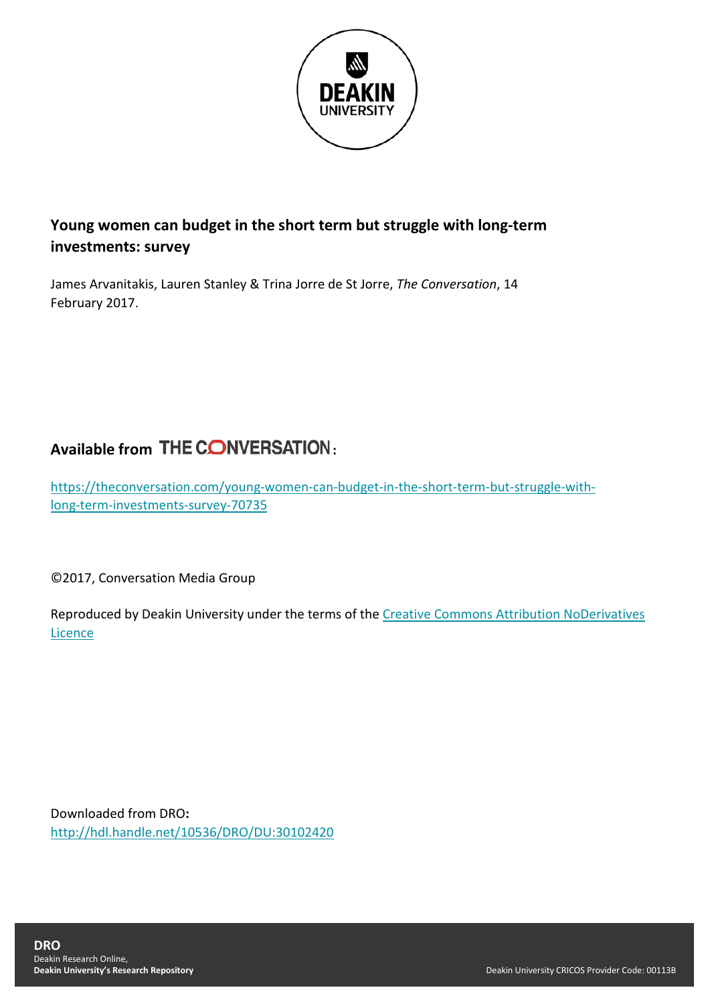

## **Young women can budget in the short term but struggle with long-term investments: survey**

James Arvanitakis, Lauren Stanley & Trina Jorre de St Jorre, *The Conversation*, 14 February 2017.

## **Available from THE CONVERSATION:**

[https://theconversation.com/young-women-can-budget-in-the-short-term-but-struggle-with](https://theconversation.com/young-women-can-budget-in-the-short-term-but-struggle-with-long-term-investments-survey-70735)[long-term-investments-survey-70735](https://theconversation.com/young-women-can-budget-in-the-short-term-but-struggle-with-long-term-investments-survey-70735)

©2017, Conversation Media Group

Reproduced by Deakin University under the terms of the [Creative Commons Attribution NoDerivatives](https://creativecommons.org/licenses/by-nd/4.0/)  [Licence](https://creativecommons.org/licenses/by-nd/4.0/)

Downloaded from DRO**:** <http://hdl.handle.net/10536/DRO/DU:30102420>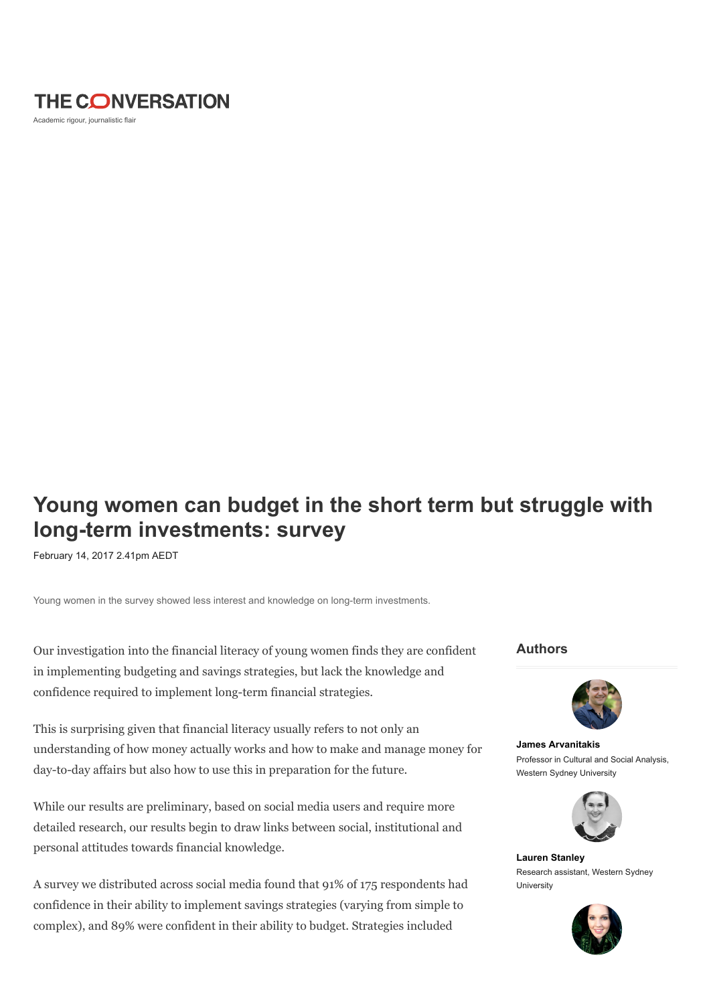

Academic rigour, journalistic flair

## Young women can budget in the short term but struggle with long-term investments: survey

February 14, 2017 2.41pm AEDT

Young women in the survey showed less interest and knowledge on long-term investments.

Our investigation into the financial literacy of young women finds they are confident in implementing budgeting and savings strategies, but lack the knowledge and confidence required to implement long-term financial strategies.

This is surprising given that financial literacy usually refers to not only an understanding of how money actually works and how to make and manage money for day-to-day affairs but also how to use this in preparation for the future.

While our results are preliminary, based on social media users and require more detailed research, our results begin to draw links between social, institutional and personal attitudes towards financial knowledge.

A survey we distributed across social media found that 91% of 175 respondents had confidence in their ability to implement savings strategies (varying from simple to complex), and 89% were confident in their ability to budget. Strategies included

Authors



[James Arvanitakis](https://theconversation.com/profiles/james-arvanitakis-12196) Professor in Cultural and Social Analysis, Western Sydney University



[Lauren Stanley](https://theconversation.com/profiles/lauren-stanley-332461) Research assistant, Western Sydney University

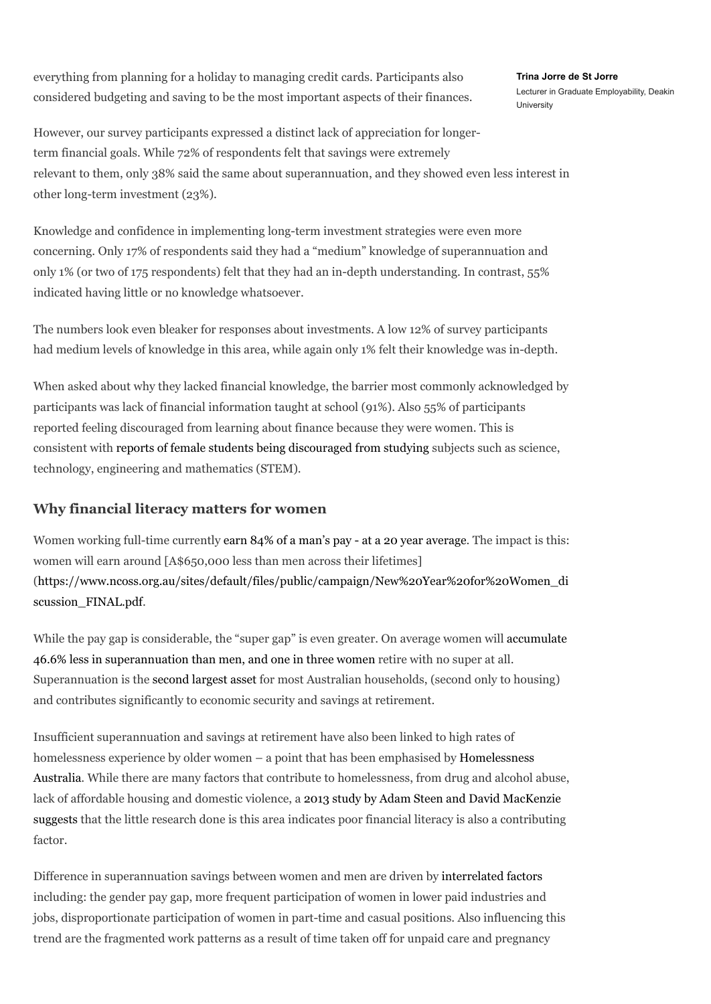everything from planning for a holiday to managing credit cards. Participants also considered budgeting and saving to be the most important aspects of their finances. [Trina Jorre de St Jorre](https://theconversation.com/profiles/trina-jorre-de-st-jorre-332867) Lecturer in Graduate Employability, Deakin **University** 

However, our survey participants expressed a distinct lack of appreciation for longerterm financial goals. While 72% of respondents felt that savings were extremely relevant to them, only 38% said the same about superannuation, and they showed even less interest in other long-term investment (23%).

Knowledge and confidence in implementing long-term investment strategies were even more concerning. Only 17% of respondents said they had a "medium" knowledge of superannuation and only 1% (or two of 175 respondents) felt that they had an in-depth understanding. In contrast, 55% indicated having little or no knowledge whatsoever.

The numbers look even bleaker for responses about investments. A low 12% of survey participants had medium levels of knowledge in this area, while again only 1% felt their knowledge was in-depth.

When asked about why they lacked financial knowledge, the barrier most commonly acknowledged by participants was lack of financial information taught at school (91%). Also 55% of participants reported feeling discouraged from learning about finance because they were women. This is consistent with [reports of female students being discouraged from studying](https://theconversation.com/teachers-gender-bias-in-maths-affects-girls-later-37844) subjects such as science, technology, engineering and mathematics (STEM).

## Why financial literacy matters for women

Women working full-time currently [earn 84% of a man's pay - at a 20 year average.](https://theconversation.com/will-the-real-gender-pay-gap-please-stand-up-64588) The impact is this: women will earn around [A\$650,000 less than men across their lifetimes] [\(https://www.ncoss.org.au/sites/default/files/public/campaign/New%20Year%20for%20Women\\_di](https://www.ncoss.org.au/sites/default/files/public/campaign/New%20Year%20for%20Women_discussion_FINAL.pdf) scussion\_FINAL.pdf.

While the pay gap is considerable, the "super gap" is even greater. On average women will accumulate 46.6% less in superannuation than men, and one in three women retire with no super at all. Superannuation is the [second largest asset](http://www.aph.gov.au/Parliamentary_Business/Committees/Senate/Economics/Economic_security_for_women_in_retirement/Report) for most Australian households, (second only to housing) and contributes significantly to economic security and savings at retirement.

Insufficient superannuation and savings at retirement have also been linked to high rates of homelessness experience by older women – a point that has been emphasised by Homelessness [Australia. While there are many factors that contribute to homelessness, from drug and alcohol a](http://www.homelessnessaustralia.org.au/images/publications/Fact_Sheets/Homelessness_and_Women.pdf)buse, [lack of affordable housing and domestic violence, a 2013 study by Adam Steen and David MacKenzie](http://ro.uow.edu.au/cgi/viewcontent.cgi?article=1449&context=aabfj)  suggests that the little research done is this area indicates poor financial literacy is also a contributing factor.

Difference in superannuation savings between women and men are driven by [interrelated factors](http://www.aph.gov.au/Parliamentary_Business/Committees/Senate/Economics/Economic_security_for_women_in_retirement/Report) including: the gender pay gap, more frequent participation of women in lower paid industries and jobs, disproportionate participation of women in part-time and casual positions. Also influencing this trend are the fragmented work patterns as a result of time taken off for unpaid care and pregnancy